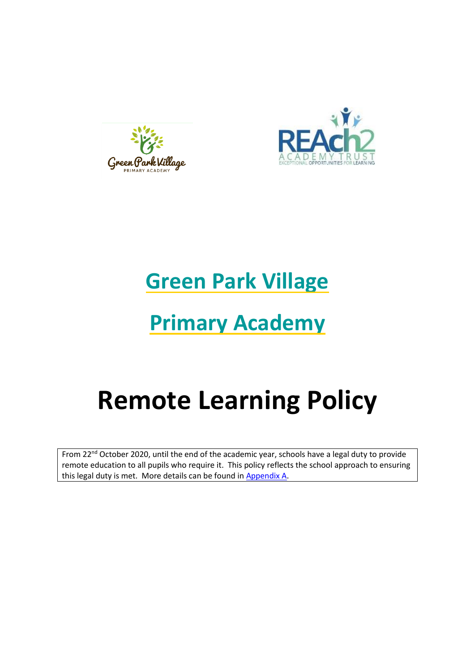



## **Green Park Village**

# **Primary Academy**

# **Remote Learning Policy**

From 22<sup>nd</sup> October 2020, until the end of the academic year, schools have a legal duty to provide remote education to all pupils who require it. This policy reflects the school approach to ensuring this legal duty is met. More details can be found in [Appendix A.](#page-14-0)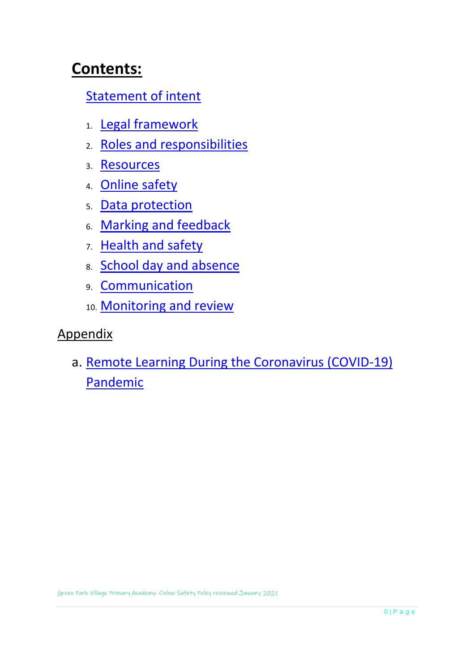## **Contents:**

## [Statement of intent](#page-2-0)

- 1. [Legal framework](#page-3-0)
- 2. [Roles and responsibilities](#page-3-1)
- 3. [Resources](#page-6-0)
- 4. [Online safety](#page-8-0)
- 5. [Data protection](#page-10-0)
- 6. [Marking and feedback](#page-10-1)
- 7. [Health and safety](#page-11-0)
- 8. [School day and absence](#page-12-0)
- 9. [Communication](#page-12-1)
- 10. [Monitoring and review](#page-13-0)

### Appendix

a. [Remote Learning During the Coronavirus \(COVID-19\)](#page-14-0)  [Pandemic](#page-14-0)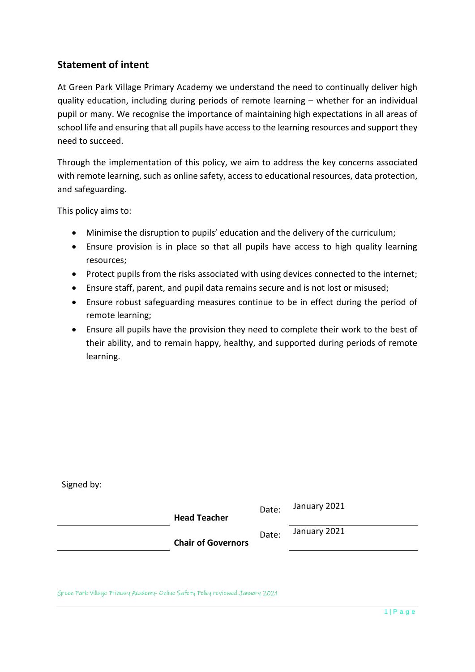#### <span id="page-2-0"></span>**Statement of intent**

At Green Park Village Primary Academy we understand the need to continually deliver high quality education, including during periods of remote learning – whether for an individual pupil or many. We recognise the importance of maintaining high expectations in all areas of school life and ensuring that all pupils have access to the learning resources and support they need to succeed.

Through the implementation of this policy, we aim to address the key concerns associated with remote learning, such as online safety, access to educational resources, data protection, and safeguarding.

This policy aims to:

Signed by:

- Minimise the disruption to pupils' education and the delivery of the curriculum;
- Ensure provision is in place so that all pupils have access to high quality learning resources;
- Protect pupils from the risks associated with using devices connected to the internet;
- Ensure staff, parent, and pupil data remains secure and is not lost or misused;
- Ensure robust safeguarding measures continue to be in effect during the period of remote learning;
- Ensure all pupils have the provision they need to complete their work to the best of their ability, and to remain happy, healthy, and supported during periods of remote learning.

| <b>Head Teacher</b>       | Date: | January 2021 |
|---------------------------|-------|--------------|
| <b>Chair of Governors</b> | Date: | January 2021 |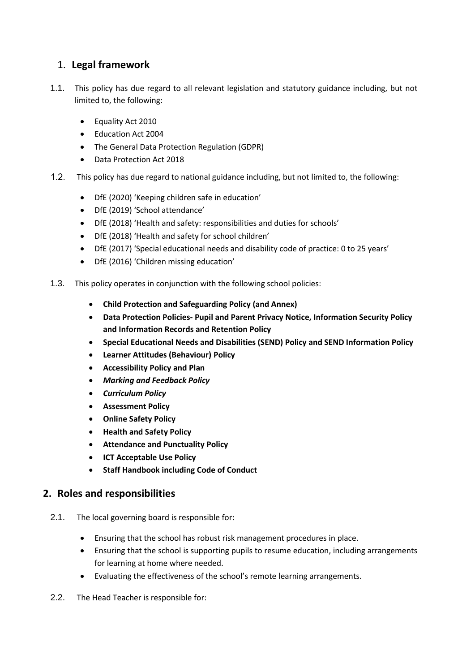#### <span id="page-3-0"></span>1. **Legal framework**

- 1.1. This policy has due regard to all relevant legislation and statutory guidance including, but not limited to, the following:
	- Equality Act 2010
	- Education Act 2004
	- The General Data Protection Regulation (GDPR)
	- Data Protection Act 2018
- $1.2.$ This policy has due regard to national guidance including, but not limited to, the following:
	- DfE (2020) 'Keeping children safe in education'
	- DfE (2019) 'School attendance'
	- DfE (2018) 'Health and safety: responsibilities and duties for schools'
	- DfE (2018) 'Health and safety for school children'
	- DfE (2017) 'Special educational needs and disability code of practice: 0 to 25 years'
	- DfE (2016) 'Children missing education'
- 1.3. This policy operates in conjunction with the following school policies:
	- **Child Protection and Safeguarding Policy (and Annex)**
	- **Data Protection Policies- Pupil and Parent Privacy Notice, Information Security Policy and Information Records and Retention Policy**
	- **Special Educational Needs and Disabilities (SEND) Policy and SEND Information Policy**
	- **Learner Attitudes (Behaviour) Policy**
	- **Accessibility Policy and Plan**
	- *Marking and Feedback Policy*
	- *Curriculum Policy*
	- **Assessment Policy**
	- **Online Safety Policy**
	- **Health and Safety Policy**
	- **Attendance and Punctuality Policy**
	- **ICT Acceptable Use Policy**
	- **Staff Handbook including Code of Conduct**

#### <span id="page-3-1"></span>**2. Roles and responsibilities**

- 2.1. The local governing board is responsible for:
	- Ensuring that the school has robust risk management procedures in place.
	- Ensuring that the school is supporting pupils to resume education, including arrangements for learning at home where needed.
	- Evaluating the effectiveness of the school's remote learning arrangements.
- 2.2. The Head Teacher is responsible for: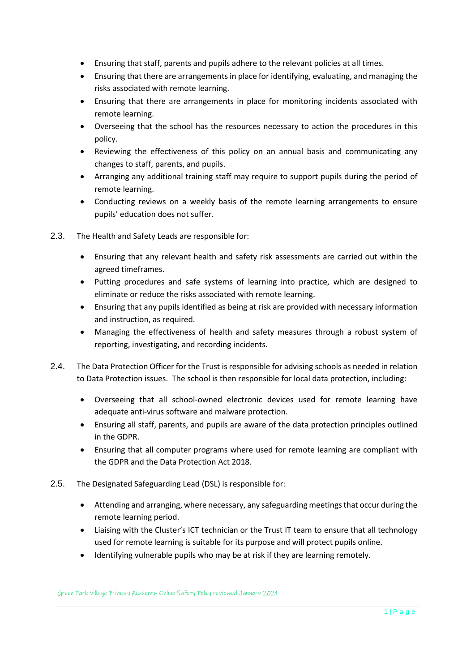- Ensuring that staff, parents and pupils adhere to the relevant policies at all times.
- Ensuring that there are arrangements in place for identifying, evaluating, and managing the risks associated with remote learning.
- Ensuring that there are arrangements in place for monitoring incidents associated with remote learning.
- Overseeing that the school has the resources necessary to action the procedures in this policy.
- Reviewing the effectiveness of this policy on an annual basis and communicating any changes to staff, parents, and pupils.
- Arranging any additional training staff may require to support pupils during the period of remote learning.
- Conducting reviews on a weekly basis of the remote learning arrangements to ensure pupils' education does not suffer.
- 2.3. The Health and Safety Leads are responsible for:
	- Ensuring that any relevant health and safety risk assessments are carried out within the agreed timeframes.
	- Putting procedures and safe systems of learning into practice, which are designed to eliminate or reduce the risks associated with remote learning.
	- Ensuring that any pupils identified as being at risk are provided with necessary information and instruction, as required.
	- Managing the effectiveness of health and safety measures through a robust system of reporting, investigating, and recording incidents.
- 2.4. The Data Protection Officer for the Trust is responsible for advising schools as needed in relation to Data Protection issues. The school is then responsible for local data protection, including:
	- Overseeing that all school-owned electronic devices used for remote learning have adequate anti-virus software and malware protection.
	- Ensuring all staff, parents, and pupils are aware of the data protection principles outlined in the GDPR.
	- Ensuring that all computer programs where used for remote learning are compliant with the GDPR and the Data Protection Act 2018.
- 2.5. The Designated Safeguarding Lead (DSL) is responsible for:
	- Attending and arranging, where necessary, any safeguarding meetings that occur during the remote learning period.
	- Liaising with the Cluster's ICT technician or the Trust IT team to ensure that all technology used for remote learning is suitable for its purpose and will protect pupils online.
	- Identifying vulnerable pupils who may be at risk if they are learning remotely.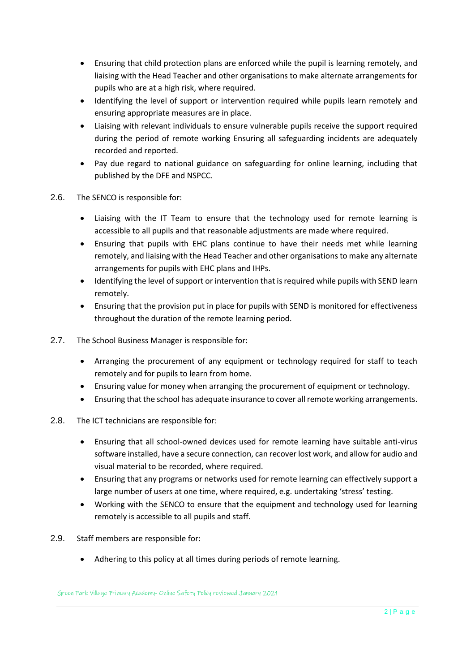- Ensuring that child protection plans are enforced while the pupil is learning remotely, and liaising with the Head Teacher and other organisations to make alternate arrangements for pupils who are at a high risk, where required.
- Identifying the level of support or intervention required while pupils learn remotely and ensuring appropriate measures are in place.
- Liaising with relevant individuals to ensure vulnerable pupils receive the support required during the period of remote working Ensuring all safeguarding incidents are adequately recorded and reported.
- Pay due regard to national guidance on safeguarding for online learning, including that published by the DFE and NSPCC.
- 2.6. The SENCO is responsible for:
	- Liaising with the IT Team to ensure that the technology used for remote learning is accessible to all pupils and that reasonable adjustments are made where required.
	- Ensuring that pupils with EHC plans continue to have their needs met while learning remotely, and liaising with the Head Teacher and other organisations to make any alternate arrangements for pupils with EHC plans and IHPs.
	- Identifying the level of support or intervention that is required while pupils with SEND learn remotely.
	- Ensuring that the provision put in place for pupils with SEND is monitored for effectiveness throughout the duration of the remote learning period.
- 2.7. The School Business Manager is responsible for:
	- Arranging the procurement of any equipment or technology required for staff to teach remotely and for pupils to learn from home.
	- Ensuring value for money when arranging the procurement of equipment or technology.
	- Ensuring that the school has adequate insurance to cover all remote working arrangements.
- 2.8. The ICT technicians are responsible for:
	- Ensuring that all school-owned devices used for remote learning have suitable anti-virus software installed, have a secure connection, can recover lost work, and allow for audio and visual material to be recorded, where required.
	- Ensuring that any programs or networks used for remote learning can effectively support a large number of users at one time, where required, e.g. undertaking 'stress' testing.
	- Working with the SENCO to ensure that the equipment and technology used for learning remotely is accessible to all pupils and staff.
- 2.9. Staff members are responsible for:
	- Adhering to this policy at all times during periods of remote learning.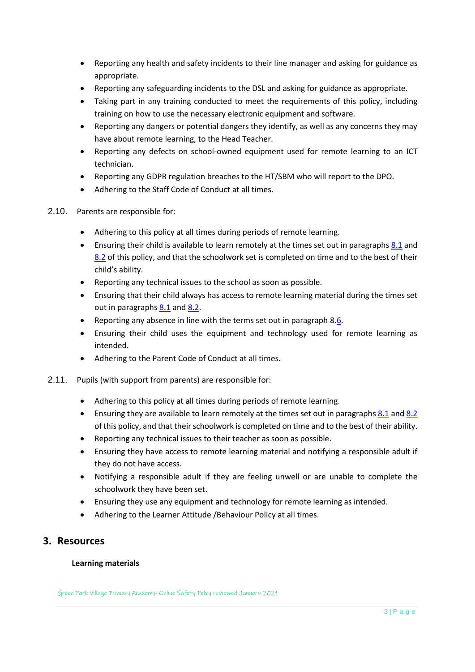- Reporting any health and safety incidents to their line manager and asking for guidance as appropriate.
- Reporting any safeguarding incidents to the DSL and asking for guidance as appropriate.
- Taking part in any training conducted to meet the requirements of this policy, including training on how to use the necessary electronic equipment and software.
- Reporting any dangers or potential dangers they identify, as well as any concerns they may have about remote learning, to the Head Teacher.
- Reporting any defects on school-owned equipment used for remote learning to an ICT technician.
- Reporting any GDPR regulation breaches to the HT/SBM who will report to the DPO.
- Adhering to the Staff Code of Conduct at all times.
- 2.10. Parents are responsible for:
	- Adhering to this policy at all times during periods of remote learning.
	- Ensuring their child is available to learn remotely at the times set out in paragraphs [8.1](#page-12-2) and [8.2](#page-12-3) of this policy, and that the schoolwork set is completed on time and to the best of their child's ability.
	- Reporting any technical issues to the school as soon as possible.
	- Ensuring that their child always has access to remote learning material during the times set out in paragraphs [8.1](#page-12-2) an[d 8.2.](#page-12-3)
	- Reporting any absence in line with the terms set out in paragrap[h 8.6.](#page-12-4)
	- Ensuring their child uses the equipment and technology used for remote learning as intended.
	- Adhering to the Parent Code of Conduct at all times.
- 2.11. Pupils (with support from parents) are responsible for:
	- Adhering to this policy at all times during periods of remote learning.
	- Ensuring they are available to learn remotely at the times set out in paragraphs [8.1](#page-12-2) an[d 8.2](#page-12-3) of this policy, and that their schoolwork is completed on time and to the best of their ability.
	- Reporting any technical issues to their teacher as soon as possible.
	- Ensuring they have access to remote learning material and notifying a responsible adult if they do not have access.
	- Notifying a responsible adult if they are feeling unwell or are unable to complete the schoolwork they have been set.
	- Ensuring they use any equipment and technology for remote learning as intended.
	- Adhering to the Learner Attitude /Behaviour Policy at all times.

#### <span id="page-6-0"></span>**3. Resources**

#### **Learning materials**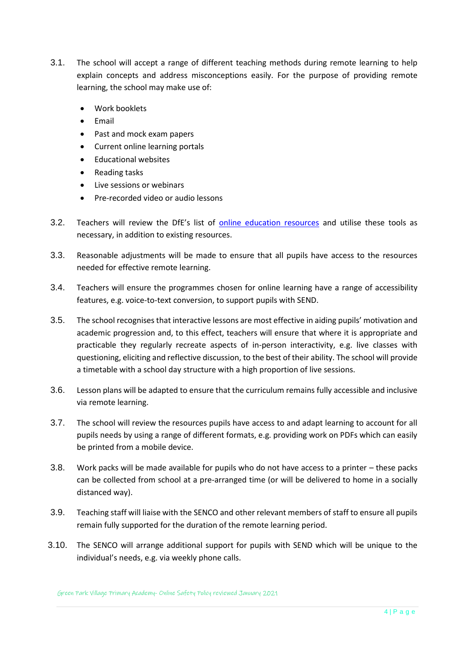- 3.1. The school will accept a range of different teaching methods during remote learning to help explain concepts and address misconceptions easily. For the purpose of providing remote learning, the school may make use of:
	- Work booklets
	- Email
	- Past and mock exam papers
	- Current online learning portals
	- Educational websites
	- Reading tasks
	- Live sessions or webinars
	- Pre-recorded video or audio lessons
- 3.2. Teachers will review the DfE's list of [online education resources](https://www.gov.uk/government/publications/coronavirus-covid-19-online-education-resources) and utilise these tools as necessary, in addition to existing resources.
- 3.3. Reasonable adjustments will be made to ensure that all pupils have access to the resources needed for effective remote learning.
- 3.4. Teachers will ensure the programmes chosen for online learning have a range of accessibility features, e.g. voice-to-text conversion, to support pupils with SEND.
- 3.5. The school recognises that interactive lessons are most effective in aiding pupils' motivation and academic progression and, to this effect, teachers will ensure that where it is appropriate and practicable they regularly recreate aspects of in-person interactivity, e.g. live classes with questioning, eliciting and reflective discussion, to the best of their ability. The school will provide a timetable with a school day structure with a high proportion of live sessions.
- 3.6. Lesson plans will be adapted to ensure that the curriculum remains fully accessible and inclusive via remote learning.
- 3.7. The school will review the resources pupils have access to and adapt learning to account for all pupils needs by using a range of different formats, e.g. providing work on PDFs which can easily be printed from a mobile device.
- 3.8. Work packs will be made available for pupils who do not have access to a printer these packs can be collected from school at a pre-arranged time (or will be delivered to home in a socially distanced way).
- 3.9. Teaching staff will liaise with the SENCO and other relevant members of staff to ensure all pupils remain fully supported for the duration of the remote learning period.
- 3.10. The SENCO will arrange additional support for pupils with SEND which will be unique to the individual's needs, e.g. via weekly phone calls.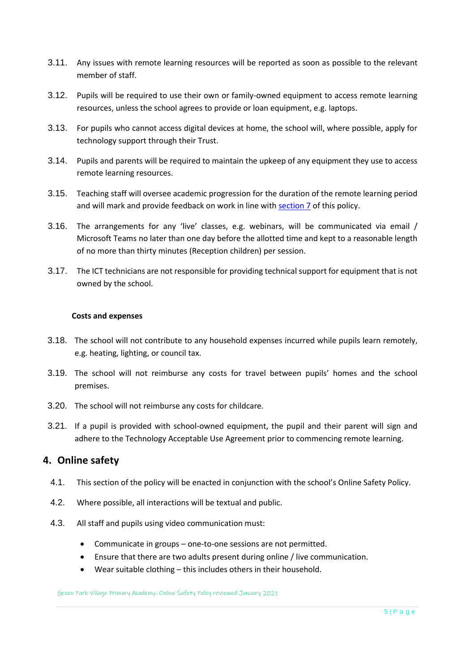- 3.11. Any issues with remote learning resources will be reported as soon as possible to the relevant member of staff.
- 3.12. Pupils will be required to use their own or family-owned equipment to access remote learning resources, unless the school agrees to provide or loan equipment, e.g. laptops.
- 3.13. For pupils who cannot access digital devices at home, the school will, where possible, apply for technology support through their Trust.
- 3.14. Pupils and parents will be required to maintain the upkeep of any equipment they use to access remote learning resources.
- 3.15. Teaching staff will oversee academic progression for the duration of the remote learning period and will mark and provide feedback on work in line with [section 7](#page-10-1) of this policy.
- 3.16. The arrangements for any 'live' classes, e.g. webinars, will be communicated via email / Microsoft Teams no later than one day before the allotted time and kept to a reasonable length of no more than thirty minutes (Reception children) per session.
- 3.17. The ICT technicians are not responsible for providing technical support for equipment that is not owned by the school.

#### **Costs and expenses**

- 3.18. The school will not contribute to any household expenses incurred while pupils learn remotely, e.g. heating, lighting, or council tax.
- 3.19. The school will not reimburse any costs for travel between pupils' homes and the school premises.
- 3.20. The school will not reimburse any costs for childcare.
- 3.21. If a pupil is provided with school-owned equipment, the pupil and their parent will sign and adhere to the Technology Acceptable Use Agreement prior to commencing remote learning.

#### <span id="page-8-0"></span>**4. Online safety**

- 4.1. This section of the policy will be enacted in conjunction with the school's Online Safety Policy.
- 4.2. Where possible, all interactions will be textual and public.
- 4.3. All staff and pupils using video communication must:
	- Communicate in groups one-to-one sessions are not permitted.
	- Ensure that there are two adults present during online / live communication.
	- Wear suitable clothing this includes others in their household.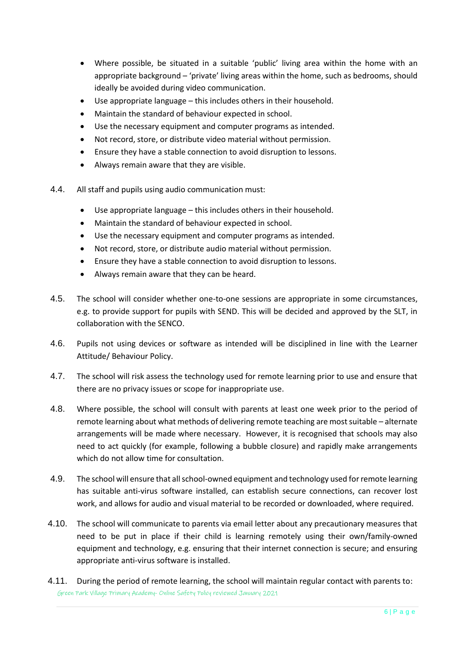- Where possible, be situated in a suitable 'public' living area within the home with an appropriate background – 'private' living areas within the home, such as bedrooms, should ideally be avoided during video communication.
- Use appropriate language this includes others in their household.
- Maintain the standard of behaviour expected in school.
- Use the necessary equipment and computer programs as intended.
- Not record, store, or distribute video material without permission.
- Ensure they have a stable connection to avoid disruption to lessons.
- Always remain aware that they are visible.
- 4.4. All staff and pupils using audio communication must:
	- Use appropriate language this includes others in their household.
	- Maintain the standard of behaviour expected in school.
	- Use the necessary equipment and computer programs as intended.
	- Not record, store, or distribute audio material without permission.
	- Ensure they have a stable connection to avoid disruption to lessons.
	- Always remain aware that they can be heard.
- 4.5. The school will consider whether one-to-one sessions are appropriate in some circumstances, e.g. to provide support for pupils with SEND. This will be decided and approved by the SLT, in collaboration with the SENCO.
- 4.6. Pupils not using devices or software as intended will be disciplined in line with the Learner Attitude/ Behaviour Policy.
- 4.7. The school will risk assess the technology used for remote learning prior to use and ensure that there are no privacy issues or scope for inappropriate use.
- 4.8. Where possible, the school will consult with parents at least one week prior to the period of remote learning about what methods of delivering remote teaching are most suitable – alternate arrangements will be made where necessary. However, it is recognised that schools may also need to act quickly (for example, following a bubble closure) and rapidly make arrangements which do not allow time for consultation.
- 4.9. The school will ensure that all school-owned equipment and technology used for remote learning has suitable anti-virus software installed, can establish secure connections, can recover lost work, and allows for audio and visual material to be recorded or downloaded, where required.
- 4.10. The school will communicate to parents via email letter about any precautionary measures that need to be put in place if their child is learning remotely using their own/family-owned equipment and technology, e.g. ensuring that their internet connection is secure; and ensuring appropriate anti-virus software is installed.
- Green Park Village Primary Academy- Online Safety Policy reviewed January 2021 4.11. During the period of remote learning, the school will maintain regular contact with parents to: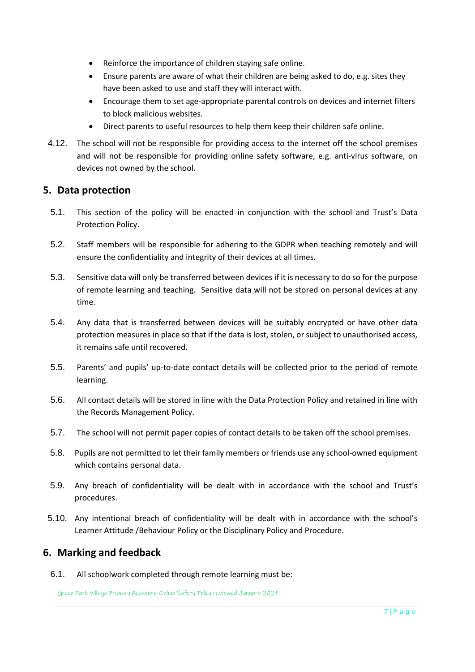- Reinforce the importance of children staying safe online.
- Ensure parents are aware of what their children are being asked to do, e.g. sites they have been asked to use and staff they will interact with.
- Encourage them to set age-appropriate parental controls on devices and internet filters to block malicious websites.
- Direct parents to useful resources to help them keep their children safe online.
- 4.12. The school will not be responsible for providing access to the internet off the school premises and will not be responsible for providing online safety software, e.g. anti-virus software, on devices not owned by the school.

#### <span id="page-10-0"></span>**5. Data protection**

- 5.1. This section of the policy will be enacted in conjunction with the school and Trust's Data Protection Policy.
- 5.2. Staff members will be responsible for adhering to the GDPR when teaching remotely and will ensure the confidentiality and integrity of their devices at all times.
- 5.3. Sensitive data will only be transferred between devices if it is necessary to do so for the purpose of remote learning and teaching. Sensitive data will not be stored on personal devices at any time.
- 5.4. Any data that is transferred between devices will be suitably encrypted or have other data protection measures in place so that if the data is lost, stolen, or subject to unauthorised access, it remains safe until recovered.
- 5.5. Parents' and pupils' up-to-date contact details will be collected prior to the period of remote learning.
- 5.6. All contact details will be stored in line with the Data Protection Policy and retained in line with the Records Management Policy.
- 5.7. The school will not permit paper copies of contact details to be taken off the school premises.
- 5.8. Pupils are not permitted to let their family members or friends use any school-owned equipment which contains personal data.
- 5.9. Any breach of confidentiality will be dealt with in accordance with the school and Trust's procedures.
- 5.10. Any intentional breach of confidentiality will be dealt with in accordance with the school's Learner Attitude /Behaviour Policy or the Disciplinary Policy and Procedure.

#### <span id="page-10-1"></span>**6. Marking and feedback**

6.1. All schoolwork completed through remote learning must be: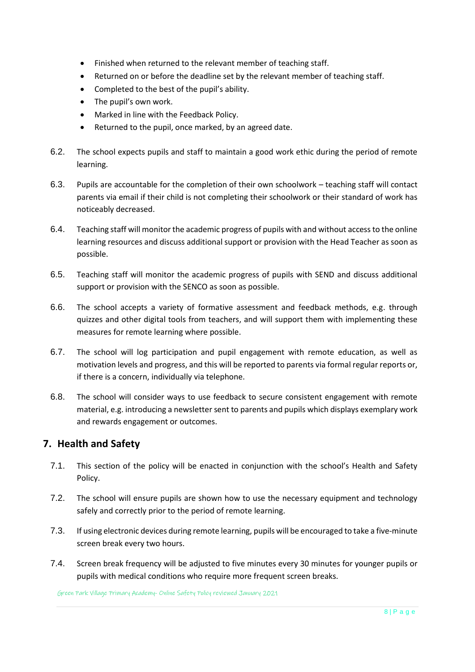- Finished when returned to the relevant member of teaching staff.
- Returned on or before the deadline set by the relevant member of teaching staff.
- Completed to the best of the pupil's ability.
- The pupil's own work.
- Marked in line with the Feedback Policy.
- Returned to the pupil, once marked, by an agreed date.
- 6.2. The school expects pupils and staff to maintain a good work ethic during the period of remote learning.
- 6.3. Pupils are accountable for the completion of their own schoolwork teaching staff will contact parents via email if their child is not completing their schoolwork or their standard of work has noticeably decreased.
- 6.4. Teaching staff will monitor the academic progress of pupils with and without access to the online learning resources and discuss additional support or provision with the Head Teacher as soon as possible.
- 6.5. Teaching staff will monitor the academic progress of pupils with SEND and discuss additional support or provision with the SENCO as soon as possible.
- 6.6. The school accepts a variety of formative assessment and feedback methods, e.g. through quizzes and other digital tools from teachers, and will support them with implementing these measures for remote learning where possible.
- 6.7. The school will log participation and pupil engagement with remote education, as well as motivation levels and progress, and this will be reported to parents via formal regular reports or, if there is a concern, individually via telephone.
- 6.8. The school will consider ways to use feedback to secure consistent engagement with remote material, e.g. introducing a newsletter sent to parents and pupils which displays exemplary work and rewards engagement or outcomes.

#### <span id="page-11-0"></span>**7. Health and Safety**

- 7.1. This section of the policy will be enacted in conjunction with the school's Health and Safety Policy.
- 7.2. The school will ensure pupils are shown how to use the necessary equipment and technology safely and correctly prior to the period of remote learning.
- 7.3. If using electronic devices during remote learning, pupils will be encouraged to take a five-minute screen break every two hours.
- 7.4. Screen break frequency will be adjusted to five minutes every 30 minutes for younger pupils or pupils with medical conditions who require more frequent screen breaks.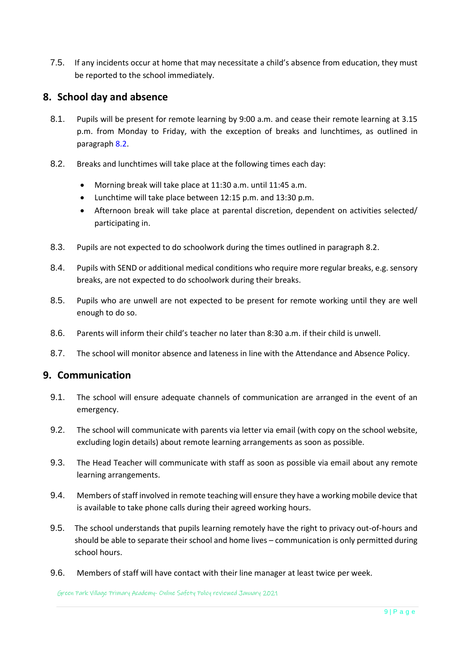7.5. If any incidents occur at home that may necessitate a child's absence from education, they must be reported to the school immediately.

#### <span id="page-12-0"></span>**8. School day and absence**

- <span id="page-12-2"></span>8.1. Pupils will be present for remote learning by 9:00 a.m. and cease their remote learning at 3.15 p.m. from Monday to Friday, with the exception of breaks and lunchtimes, as outlined in paragraph [8.2.](#page-12-3)
- <span id="page-12-3"></span>8.2. Breaks and lunchtimes will take place at the following times each day:
	- Morning break will take place at 11:30 a.m. until 11:45 a.m.
	- Lunchtime will take place between 12:15 p.m. and 13:30 p.m.
	- Afternoon break will take place at parental discretion, dependent on activities selected/ participating in.
- 8.3. Pupils are not expected to do schoolwork during the times outlined in paragraph 8.2.
- 8.4. Pupils with SEND or additional medical conditions who require more regular breaks, e.g. sensory breaks, are not expected to do schoolwork during their breaks.
- 8.5. Pupils who are unwell are not expected to be present for remote working until they are well enough to do so.
- <span id="page-12-4"></span>8.6. Parents will inform their child's teacher no later than 8:30 a.m. if their child is unwell.
- 8.7. The school will monitor absence and lateness in line with the Attendance and Absence Policy.

#### <span id="page-12-1"></span>**9. Communication**

- 9.1. The school will ensure adequate channels of communication are arranged in the event of an emergency.
- 9.2. The school will communicate with parents via letter via email (with copy on the school website, excluding login details) about remote learning arrangements as soon as possible.
- 9.3. The Head Teacher will communicate with staff as soon as possible via email about any remote learning arrangements.
- 9.4. Members of staff involved in remote teaching will ensure they have a working mobile device that is available to take phone calls during their agreed working hours.
- 9.5. The school understands that pupils learning remotely have the right to privacy out-of-hours and should be able to separate their school and home lives – communication is only permitted during school hours.
- 9.6. Members of staff will have contact with their line manager at least twice per week.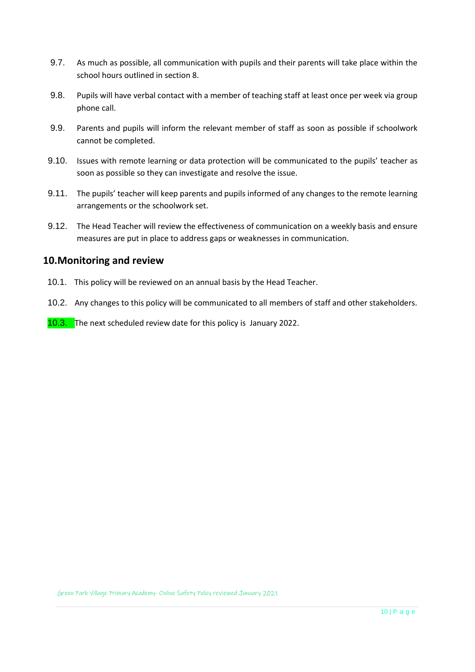- 9.7. As much as possible, all communication with pupils and their parents will take place within the school hours outlined in section 8.
- 9.8. Pupils will have verbal contact with a member of teaching staff at least once per week via group phone call.
- 9.9. Parents and pupils will inform the relevant member of staff as soon as possible if schoolwork cannot be completed.
- 9.10. Issues with remote learning or data protection will be communicated to the pupils' teacher as soon as possible so they can investigate and resolve the issue.
- 9.11. The pupils' teacher will keep parents and pupils informed of any changes to the remote learning arrangements or the schoolwork set.
- 9.12. The Head Teacher will review the effectiveness of communication on a weekly basis and ensure measures are put in place to address gaps or weaknesses in communication.

#### <span id="page-13-0"></span>**10.Monitoring and review**

- 10.1. This policy will be reviewed on an annual basis by the Head Teacher.
- 10.2. Any changes to this policy will be communicated to all members of staff and other stakeholders.

10.3. The next scheduled review date for this policy is January 2022.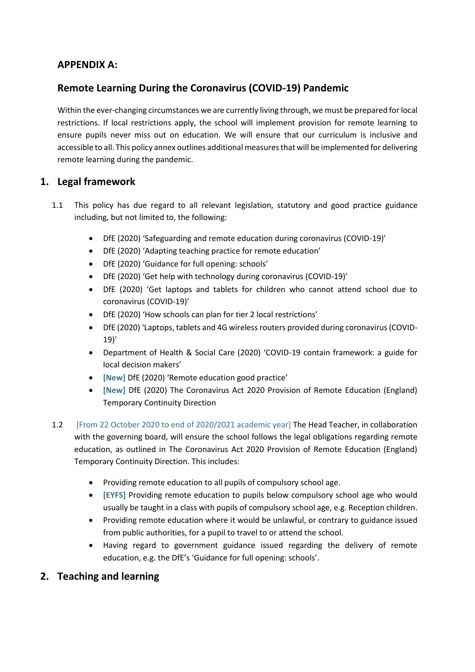#### <span id="page-14-0"></span>**APPENDIX A:**

#### **Remote Learning During the Coronavirus (COVID-19) Pandemic**

Within the ever-changing circumstances we are currently living through, we must be prepared for local restrictions. If local restrictions apply, the school will implement provision for remote learning to ensure pupils never miss out on education. We will ensure that our curriculum is inclusive and accessible to all. This policy annex outlines additional measures that will be implemented for delivering remote learning during the pandemic.

#### **1. Legal framework**

- 1.1 This policy has due regard to all relevant legislation, statutory and good practice guidance including, but not limited to, the following:
	- DfE (2020) 'Safeguarding and remote education during coronavirus (COVID-19)'
	- DfE (2020) 'Adapting teaching practice for remote education'
	- DfE (2020) 'Guidance for full opening: schools'
	- DfE (2020) 'Get help with technology during coronavirus (COVID-19)'
	- DfE (2020) 'Get laptops and tablets for children who cannot attend school due to coronavirus (COVID-19)'
	- DfE (2020) 'How schools can plan for tier 2 local restrictions'
	- DfE (2020) 'Laptops, tablets and 4G wireless routers provided during coronavirus (COVID-19)'
	- Department of Health & Social Care (2020) 'COVID-19 contain framework: a guide for local decision makers'
	- **[New]** DfE (2020) 'Remote education good practice'
	- **[New]** DfE (2020) The Coronavirus Act 2020 Provision of Remote Education (England) Temporary Continuity Direction
- 1.2 [From 22 October 2020 to end of 2020/2021 academic year] The Head Teacher, in collaboration with the governing board, will ensure the school follows the legal obligations regarding remote education, as outlined in The Coronavirus Act 2020 Provision of Remote Education (England) Temporary Continuity Direction. This includes:
	- Providing remote education to all pupils of compulsory school age.
	- **[EYFS]** Providing remote education to pupils below compulsory school age who would usually be taught in a class with pupils of compulsory school age, e.g. Reception children.
	- Providing remote education where it would be unlawful, or contrary to guidance issued from public authorities, for a pupil to travel to or attend the school.
	- Having regard to government guidance issued regarding the delivery of remote education, e.g. the DfE's 'Guidance for full opening: schools'.
- **2. Teaching and learning**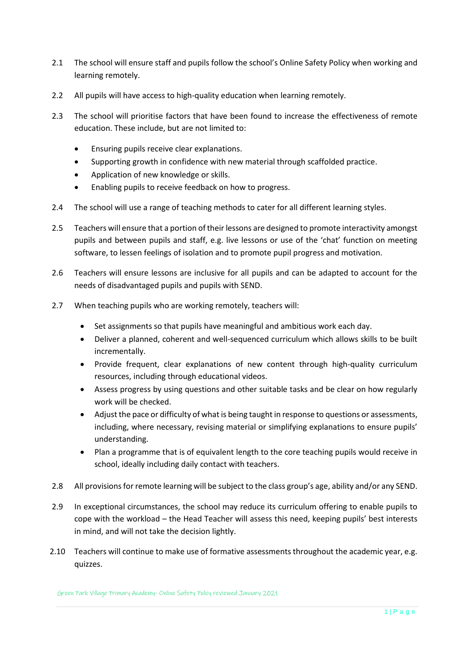- 2.1 The school will ensure staff and pupils follow the school's Online Safety Policy when working and learning remotely.
- 2.2 All pupils will have access to high-quality education when learning remotely.
- 2.3 The school will prioritise factors that have been found to increase the effectiveness of remote education. These include, but are not limited to:
	- Ensuring pupils receive clear explanations.
	- Supporting growth in confidence with new material through scaffolded practice.
	- Application of new knowledge or skills.
	- Enabling pupils to receive feedback on how to progress.
- 2.4 The school will use a range of teaching methods to cater for all different learning styles.
- 2.5 Teachers will ensure that a portion of their lessons are designed to promote interactivity amongst pupils and between pupils and staff, e.g. live lessons or use of the 'chat' function on meeting software, to lessen feelings of isolation and to promote pupil progress and motivation.
- 2.6 Teachers will ensure lessons are inclusive for all pupils and can be adapted to account for the needs of disadvantaged pupils and pupils with SEND.
- 2.7 When teaching pupils who are working remotely, teachers will:
	- Set assignments so that pupils have meaningful and ambitious work each day.
	- Deliver a planned, coherent and well-sequenced curriculum which allows skills to be built incrementally.
	- Provide frequent, clear explanations of new content through high-quality curriculum resources, including through educational videos.
	- Assess progress by using questions and other suitable tasks and be clear on how regularly work will be checked.
	- Adjust the pace or difficulty of what is being taught in response to questions or assessments, including, where necessary, revising material or simplifying explanations to ensure pupils' understanding.
	- Plan a programme that is of equivalent length to the core teaching pupils would receive in school, ideally including daily contact with teachers.
- 2.8 All provisions for remote learning will be subject to the class group's age, ability and/or any SEND.
- 2.9 In exceptional circumstances, the school may reduce its curriculum offering to enable pupils to cope with the workload – the Head Teacher will assess this need, keeping pupils' best interests in mind, and will not take the decision lightly.
- 2.10 Teachers will continue to make use of formative assessments throughout the academic year, e.g. quizzes.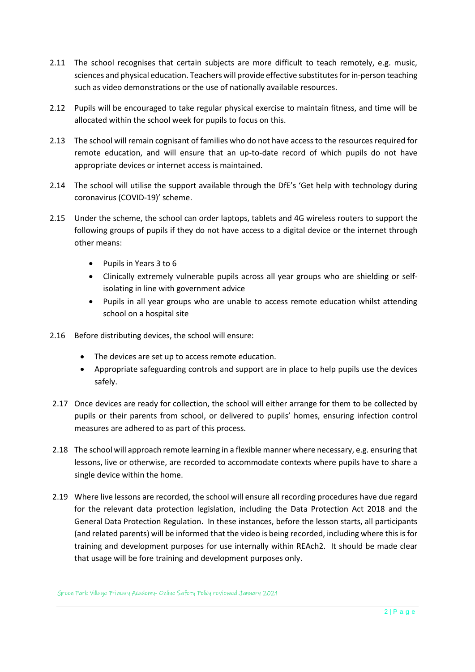- 2.11 The school recognises that certain subjects are more difficult to teach remotely, e.g. music, sciences and physical education. Teachers will provide effective substitutes for in-person teaching such as video demonstrations or the use of nationally available resources.
- 2.12 Pupils will be encouraged to take regular physical exercise to maintain fitness, and time will be allocated within the school week for pupils to focus on this.
- 2.13 The school will remain cognisant of families who do not have access to the resources required for remote education, and will ensure that an up-to-date record of which pupils do not have appropriate devices or internet access is maintained.
- 2.14 The school will utilise the support available through the DfE's 'Get help with technology during coronavirus (COVID-19)' scheme.
- 2.15 Under the scheme, the school can order laptops, tablets and 4G wireless routers to support the following groups of pupils if they do not have access to a digital device or the internet through other means:
	- Pupils in Years 3 to 6
	- Clinically extremely vulnerable pupils across all year groups who are shielding or selfisolating in line with government advice
	- Pupils in all year groups who are unable to access remote education whilst attending school on a hospital site
- 2.16 Before distributing devices, the school will ensure:
	- The devices are set up to access remote education.
	- Appropriate safeguarding controls and support are in place to help pupils use the devices safely.
- 2.17 Once devices are ready for collection, the school will either arrange for them to be collected by pupils or their parents from school, or delivered to pupils' homes, ensuring infection control measures are adhered to as part of this process.
- 2.18 The school will approach remote learning in a flexible manner where necessary, e.g. ensuring that lessons, live or otherwise, are recorded to accommodate contexts where pupils have to share a single device within the home.
- 2.19 Where live lessons are recorded, the school will ensure all recording procedures have due regard for the relevant data protection legislation, including the Data Protection Act 2018 and the General Data Protection Regulation. In these instances, before the lesson starts, all participants (and related parents) will be informed that the video is being recorded, including where this is for training and development purposes for use internally within REAch2. It should be made clear that usage will be fore training and development purposes only.